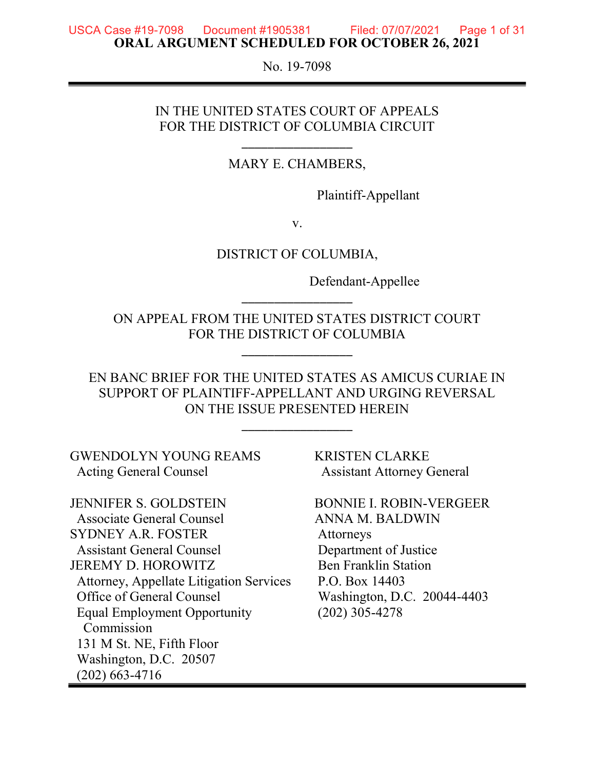#### **USCA Case #19-7098** Document #1905381 Filed: 07/07/2021 Page 1 of 31 ORAL ARGUMENT SCHEDULED FOR OCTOBER 26, 2021

No. 19-7098

#### IN THE UNITED STATES COURT OF APPEALS FOR THE DISTRICT OF COLUMBIA CIRCUIT

\_\_\_\_\_\_\_\_\_\_\_\_\_\_\_\_\_

MARY E. CHAMBERS,

Plaintiff-Appellant

v.

DISTRICT OF COLUMBIA,

Defendant-Appellee

ON APPEAL FROM THE UNITED STATES DISTRICT COURT FOR THE DISTRICT OF COLUMBIA

\_\_\_\_\_\_\_\_\_\_\_\_\_\_\_\_\_

\_\_\_\_\_\_\_\_\_\_\_\_\_\_\_\_\_

EN BANC BRIEF FOR THE UNITED STATES AS AMICUS CURIAE IN SUPPORT OF PLAINTIFF-APPELLANT AND URGING REVERSAL ON THE ISSUE PRESENTED HEREIN

\_\_\_\_\_\_\_\_\_\_\_\_\_\_\_\_\_

GWENDOLYN YOUNG REAMS KRISTEN CLARKE Acting General Counsel **Assistant Attorney General** 

JENNIFER S. GOLDSTEIN BONNIE I. ROBIN-VERGEER Associate General Counsel **ANNA M. BALDWIN** SYDNEY A.R. FOSTER Attorneys Assistant General Counsel Department of Justice JEREMY D. HOROWITZ Ben Franklin Station Attorney, Appellate Litigation Services P.O. Box 14403 Office of General Counsel Washington, D.C. 20044-4403 Equal Employment Opportunity (202) 305-4278 Commission 131 M St. NE, Fifth Floor Washington, D.C. 20507 (202) 663-4716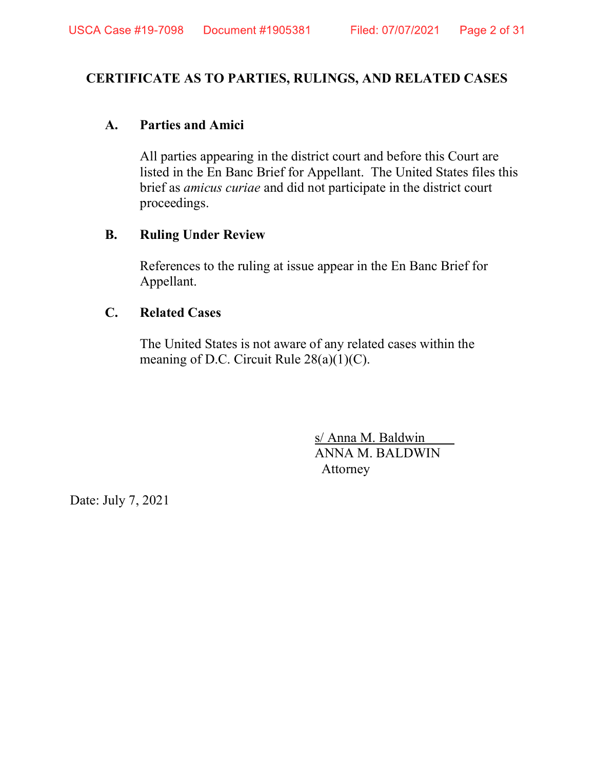#### CERTIFICATE AS TO PARTIES, RULINGS, AND RELATED CASES

#### A. Parties and Amici

All parties appearing in the district court and before this Court are listed in the En Banc Brief for Appellant. The United States files this brief as amicus curiae and did not participate in the district court proceedings.

#### B. Ruling Under Review

References to the ruling at issue appear in the En Banc Brief for Appellant.

#### C. Related Cases

The United States is not aware of any related cases within the meaning of D.C. Circuit Rule  $28(a)(1)(C)$ .

> s/ Anna M. Baldwin ANNA M. BALDWIN Attorney

Date: July 7, 2021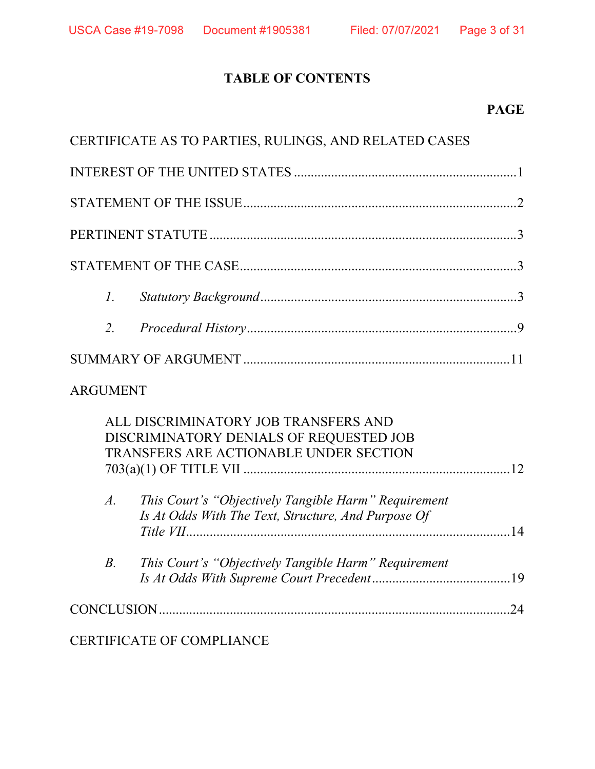# TABLE OF CONTENTS

# PAGE

|                  | CERTIFICATE AS TO PARTIES, RULINGS, AND RELATED CASES                                                                                                                                                                                    |  |
|------------------|------------------------------------------------------------------------------------------------------------------------------------------------------------------------------------------------------------------------------------------|--|
|                  |                                                                                                                                                                                                                                          |  |
|                  |                                                                                                                                                                                                                                          |  |
|                  |                                                                                                                                                                                                                                          |  |
|                  |                                                                                                                                                                                                                                          |  |
| $\mathcal{I}$ .  |                                                                                                                                                                                                                                          |  |
| $\overline{2}$ . |                                                                                                                                                                                                                                          |  |
|                  |                                                                                                                                                                                                                                          |  |
| <b>ARGUMENT</b>  |                                                                                                                                                                                                                                          |  |
| $\overline{A}$ . | ALL DISCRIMINATORY JOB TRANSFERS AND<br>DISCRIMINATORY DENIALS OF REQUESTED JOB<br>TRANSFERS ARE ACTIONABLE UNDER SECTION<br>This Court's "Objectively Tangible Harm" Requirement<br>Is At Odds With The Text, Structure, And Purpose Of |  |
| B <sub>1</sub>   | This Court's "Objectively Tangible Harm" Requirement                                                                                                                                                                                     |  |
|                  |                                                                                                                                                                                                                                          |  |

CERTIFICATE OF COMPLIANCE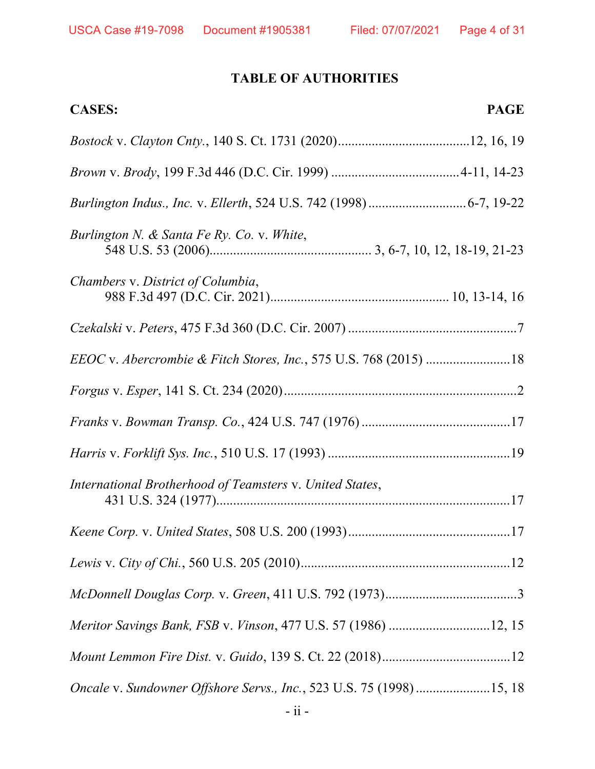# TABLE OF AUTHORITIES

| <b>PAGE</b><br><b>CASES:</b>                                                |
|-----------------------------------------------------------------------------|
|                                                                             |
|                                                                             |
|                                                                             |
| Burlington N. & Santa Fe Ry. Co. v. White,                                  |
| Chambers v. District of Columbia,                                           |
|                                                                             |
| EEOC v. Abercrombie & Fitch Stores, Inc., 575 U.S. 768 (2015) 18            |
|                                                                             |
|                                                                             |
|                                                                             |
| International Brotherhood of Teamsters v. United States,                    |
|                                                                             |
|                                                                             |
|                                                                             |
| Meritor Savings Bank, FSB v. Vinson, 477 U.S. 57 (1986) 12, 15              |
|                                                                             |
| <i>Oncale v. Sundowner Offshore Servs., Inc., 523 U.S. 75 (1998) 15, 18</i> |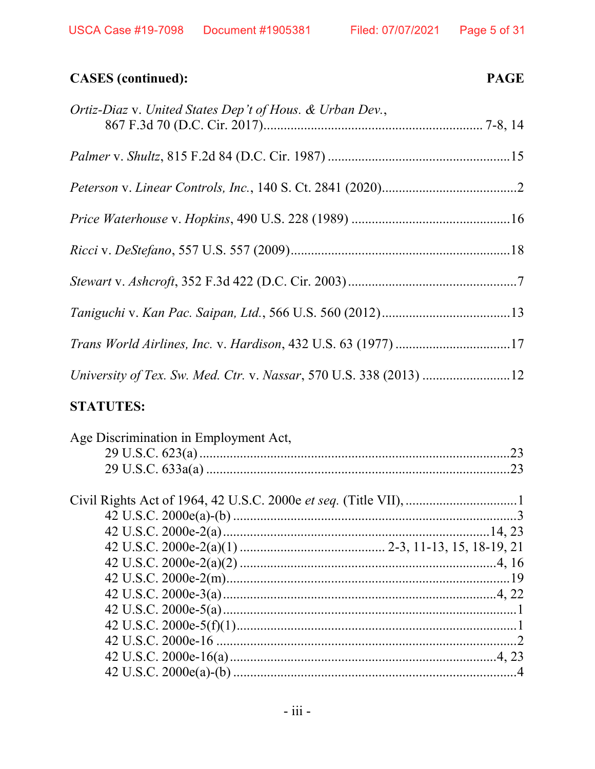USCA Case #19-7098 Document #1905381 Filed: 07/07/2021 Page 5 of 31

#### **CASES** (continued): **PAGE**

| Ortiz-Diaz v. United States Dep't of Hous. & Urban Dev., |  |
|----------------------------------------------------------|--|
|                                                          |  |
|                                                          |  |
|                                                          |  |
|                                                          |  |
|                                                          |  |
|                                                          |  |
|                                                          |  |
|                                                          |  |

#### **STATUTES:**

| Age Discrimination in Employment Act, |  |
|---------------------------------------|--|
|                                       |  |
|                                       |  |
|                                       |  |
|                                       |  |
|                                       |  |
|                                       |  |
|                                       |  |
|                                       |  |
|                                       |  |
|                                       |  |
|                                       |  |
|                                       |  |
|                                       |  |
|                                       |  |
|                                       |  |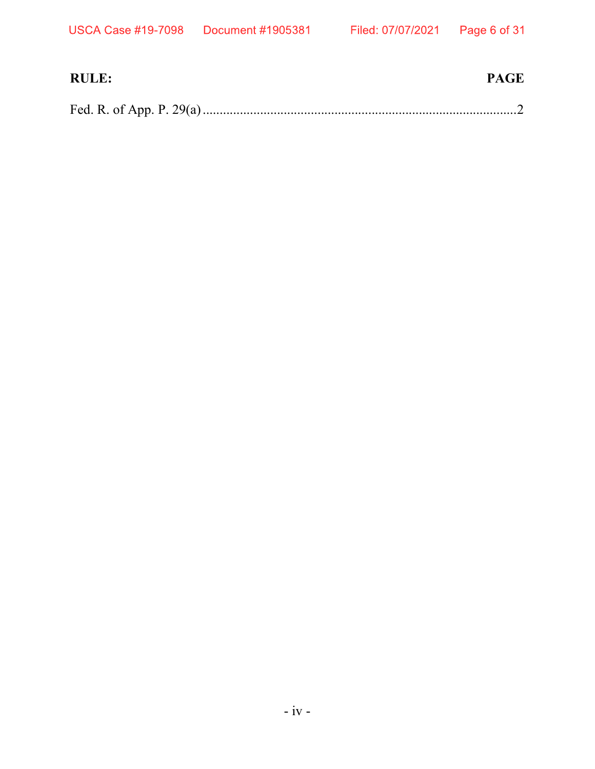| <b>RULE:</b> | <b>PAGE</b> |
|--------------|-------------|
|              |             |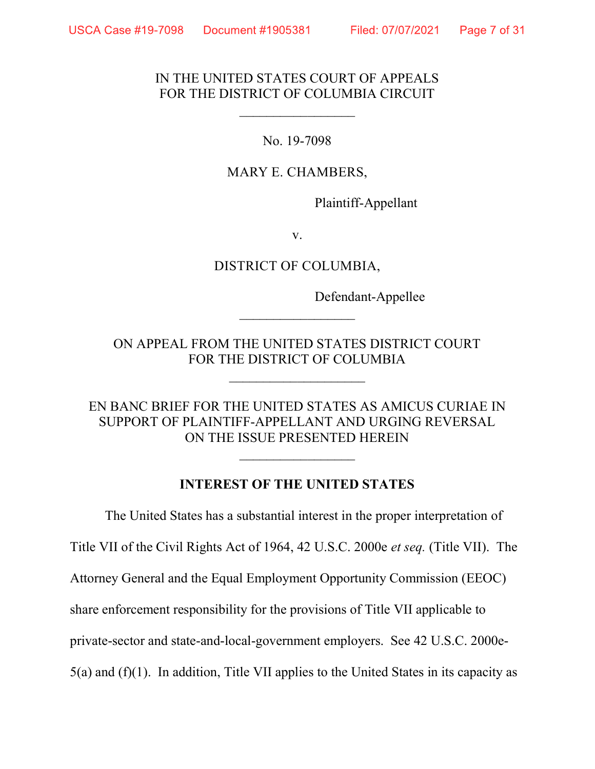#### Page 7 of 31

#### IN THE UNITED STATES COURT OF APPEALS FOR THE DISTRICT OF COLUMBIA CIRCUIT

 $\mathcal{L}_\text{max}$ 

No. 19-7098

#### MARY E. CHAMBERS,

Plaintiff-Appellant

v.

#### DISTRICT OF COLUMBIA,

Defendant-Appellee

ON APPEAL FROM THE UNITED STATES DISTRICT COURT FOR THE DISTRICT OF COLUMBIA

 $\mathcal{L}_\text{max}$  , where  $\mathcal{L}_\text{max}$ 

 $\mathcal{L}_\text{max}$ 

#### EN BANC BRIEF FOR THE UNITED STATES AS AMICUS CURIAE IN SUPPORT OF PLAINTIFF-APPELLANT AND URGING REVERSAL ON THE ISSUE PRESENTED HEREIN

#### INTEREST OF THE UNITED STATES

 $\mathcal{L}_\text{max}$ 

The United States has a substantial interest in the proper interpretation of Title VII of the Civil Rights Act of 1964, 42 U.S.C. 2000e et seq. (Title VII). The Attorney General and the Equal Employment Opportunity Commission (EEOC) share enforcement responsibility for the provisions of Title VII applicable to private-sector and state-and-local-government employers. See 42 U.S.C. 2000e-5(a) and (f)(1). In addition, Title VII applies to the United States in its capacity as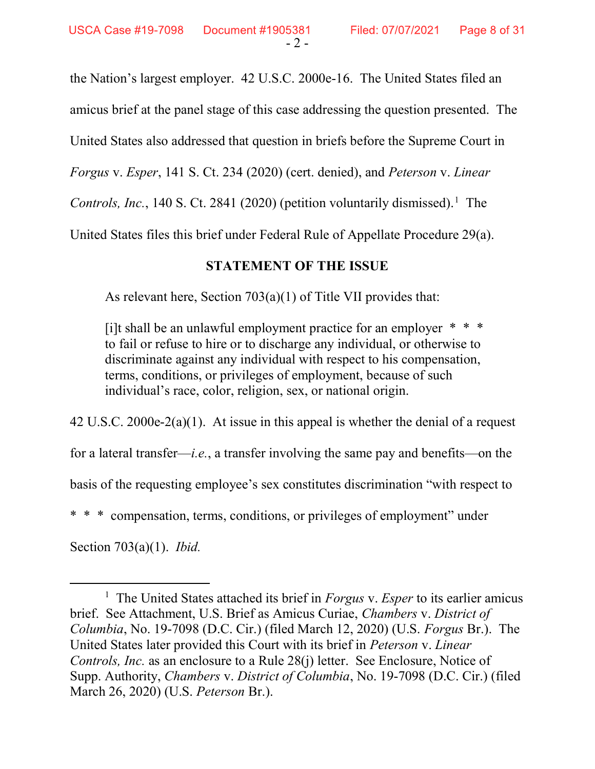the Nation's largest employer. 42 U.S.C. 2000e-16. The United States filed an amicus brief at the panel stage of this case addressing the question presented. The United States also addressed that question in briefs before the Supreme Court in Forgus v. Esper, 141 S. Ct. 234 (2020) (cert. denied), and Peterson v. Linear Controls, Inc., 140 S. Ct. 2841 (2020) (petition voluntarily dismissed).<sup>1</sup> The United States files this brief under Federal Rule of Appellate Procedure 29(a).

## STATEMENT OF THE ISSUE

As relevant here, Section 703(a)(1) of Title VII provides that:

[i]t shall be an unlawful employment practice for an employer  $* * *$ to fail or refuse to hire or to discharge any individual, or otherwise to discriminate against any individual with respect to his compensation, terms, conditions, or privileges of employment, because of such individual's race, color, religion, sex, or national origin.

42 U.S.C. 2000e-2(a)(1). At issue in this appeal is whether the denial of a request

for a lateral transfer—*i.e.*, a transfer involving the same pay and benefits—on the

basis of the requesting employee's sex constitutes discrimination "with respect to

compensation, terms, conditions, or privileges of employment" under

Section 703(a)(1). Ibid.

<sup>&</sup>lt;sup>1</sup> The United States attached its brief in *Forgus v. Esper* to its earlier amicus brief. See Attachment, U.S. Brief as Amicus Curiae, Chambers v. District of Columbia, No. 19-7098 (D.C. Cir.) (filed March 12, 2020) (U.S. Forgus Br.). The United States later provided this Court with its brief in Peterson v. Linear Controls, Inc. as an enclosure to a Rule 28(j) letter. See Enclosure, Notice of Supp. Authority, Chambers v. District of Columbia, No. 19-7098 (D.C. Cir.) (filed March 26, 2020) (U.S. Peterson Br.).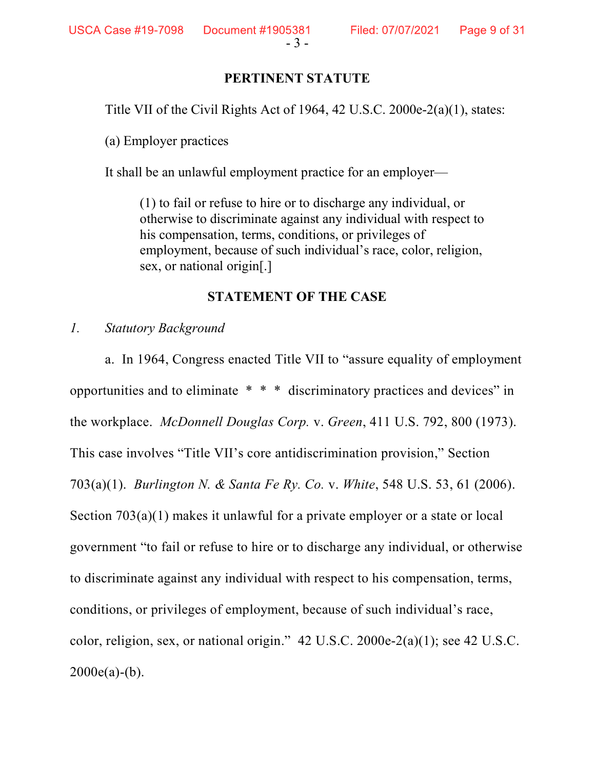#### PERTINENT STATUTE

Title VII of the Civil Rights Act of 1964, 42 U.S.C. 2000e-2(a)(1), states:

(a) Employer practices

It shall be an unlawful employment practice for an employer—

(1) to fail or refuse to hire or to discharge any individual, or otherwise to discriminate against any individual with respect to his compensation, terms, conditions, or privileges of employment, because of such individual's race, color, religion, sex, or national origin[.]

#### STATEMENT OF THE CASE

#### 1. Statutory Background

a. In 1964, Congress enacted Title VII to "assure equality of employment opportunities and to eliminate \* \* \* discriminatory practices and devices" in the workplace. McDonnell Douglas Corp. v. Green, 411 U.S. 792, 800 (1973). This case involves "Title VII's core antidiscrimination provision," Section 703(a)(1). Burlington N. & Santa Fe Ry. Co. v. White, 548 U.S. 53, 61 (2006). Section 703(a)(1) makes it unlawful for a private employer or a state or local government "to fail or refuse to hire or to discharge any individual, or otherwise to discriminate against any individual with respect to his compensation, terms, conditions, or privileges of employment, because of such individual's race, color, religion, sex, or national origin." 42 U.S.C. 2000e-2(a)(1); see 42 U.S.C.  $2000e(a)-(b)$ .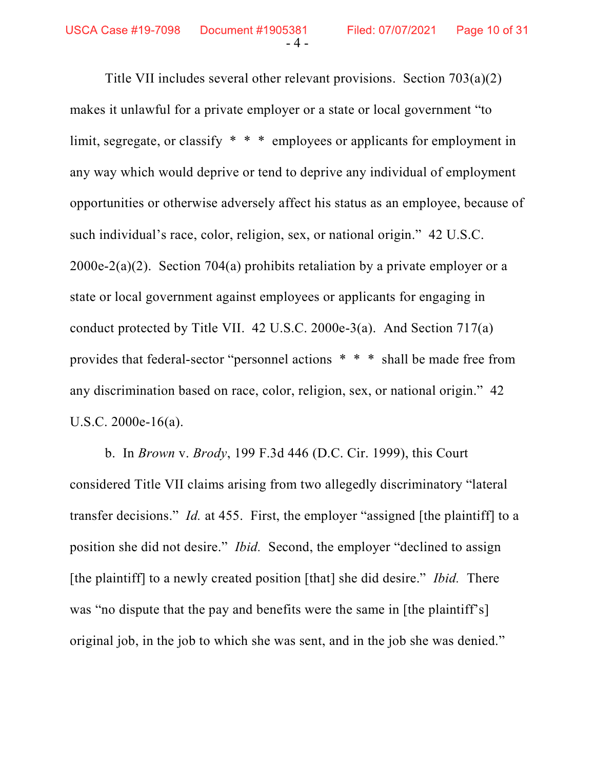Title VII includes several other relevant provisions. Section 703(a)(2) makes it unlawful for a private employer or a state or local government "to limit, segregate, or classify \* \* \* employees or applicants for employment in any way which would deprive or tend to deprive any individual of employment opportunities or otherwise adversely affect his status as an employee, because of such individual's race, color, religion, sex, or national origin." 42 U.S.C. 2000e-2(a)(2). Section 704(a) prohibits retaliation by a private employer or a state or local government against employees or applicants for engaging in conduct protected by Title VII. 42 U.S.C. 2000e-3(a). And Section 717(a) provides that federal-sector "personnel actions \* \* \* shall be made free from any discrimination based on race, color, religion, sex, or national origin." 42 U.S.C. 2000e-16(a).

b. In Brown v. Brody, 199 F.3d 446 (D.C. Cir. 1999), this Court considered Title VII claims arising from two allegedly discriminatory "lateral transfer decisions." Id. at 455. First, the employer "assigned [the plaintiff] to a position she did not desire." Ibid. Second, the employer "declined to assign [the plaintiff] to a newly created position [that] she did desire." *Ibid.* There was "no dispute that the pay and benefits were the same in [the plaintiff's] original job, in the job to which she was sent, and in the job she was denied."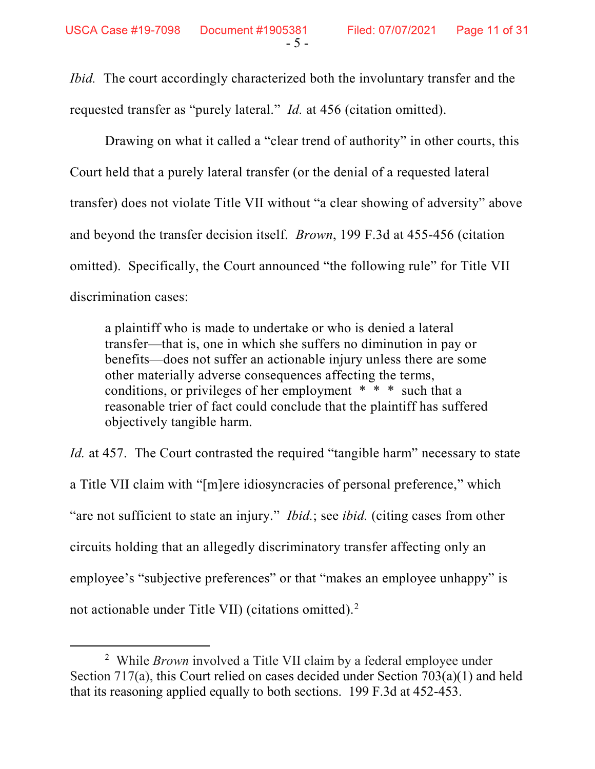Ibid. The court accordingly characterized both the involuntary transfer and the requested transfer as "purely lateral." Id. at 456 (citation omitted).

Drawing on what it called a "clear trend of authority" in other courts, this Court held that a purely lateral transfer (or the denial of a requested lateral transfer) does not violate Title VII without "a clear showing of adversity" above and beyond the transfer decision itself. Brown, 199 F.3d at 455-456 (citation omitted). Specifically, the Court announced "the following rule" for Title VII discrimination cases:

a plaintiff who is made to undertake or who is denied a lateral transfer—that is, one in which she suffers no diminution in pay or benefits—does not suffer an actionable injury unless there are some other materially adverse consequences affecting the terms, conditions, or privileges of her employment \* \* \* such that a reasonable trier of fact could conclude that the plaintiff has suffered objectively tangible harm.

Id. at 457. The Court contrasted the required "tangible harm" necessary to state a Title VII claim with "[m]ere idiosyncracies of personal preference," which "are not sufficient to state an injury." *Ibid.*; see *ibid.* (citing cases from other circuits holding that an allegedly discriminatory transfer affecting only an employee's "subjective preferences" or that "makes an employee unhappy" is not actionable under Title VII) (citations omitted).<sup>2</sup>

<sup>&</sup>lt;sup>2</sup> While *Brown* involved a Title VII claim by a federal employee under Section 717(a), this Court relied on cases decided under Section 703(a)(1) and held that its reasoning applied equally to both sections. 199 F.3d at 452-453.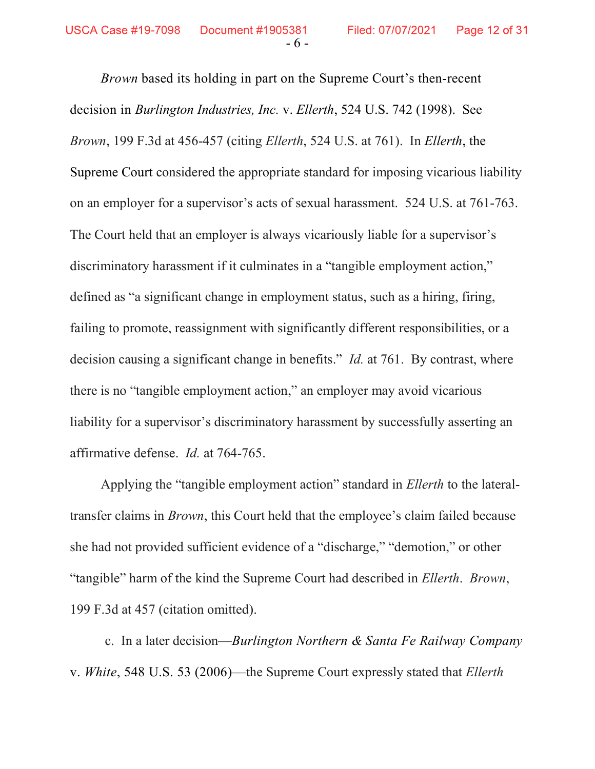Brown based its holding in part on the Supreme Court's then-recent decision in Burlington Industries, Inc. v. Ellerth, 524 U.S. 742 (1998). See Brown, 199 F.3d at 456-457 (citing Ellerth, 524 U.S. at 761). In Ellerth, the Supreme Court considered the appropriate standard for imposing vicarious liability on an employer for a supervisor's acts of sexual harassment. 524 U.S. at 761-763. The Court held that an employer is always vicariously liable for a supervisor's discriminatory harassment if it culminates in a "tangible employment action," defined as "a significant change in employment status, such as a hiring, firing, failing to promote, reassignment with significantly different responsibilities, or a decision causing a significant change in benefits." *Id.* at 761. By contrast, where there is no "tangible employment action," an employer may avoid vicarious liability for a supervisor's discriminatory harassment by successfully asserting an affirmative defense. Id. at 764-765.

Applying the "tangible employment action" standard in Ellerth to the lateraltransfer claims in Brown, this Court held that the employee's claim failed because she had not provided sufficient evidence of a "discharge," "demotion," or other "tangible" harm of the kind the Supreme Court had described in Ellerth. Brown, 199 F.3d at 457 (citation omitted).

c. In a later decision—Burlington Northern & Santa Fe Railway Company v. White, 548 U.S. 53 (2006)—the Supreme Court expressly stated that Ellerth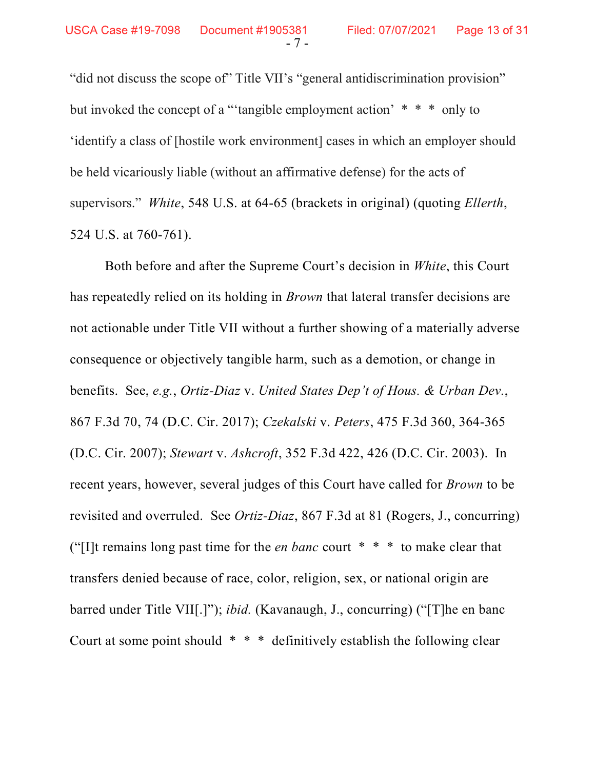"did not discuss the scope of" Title VII's "general antidiscrimination provision" but invoked the concept of a "'tangible employment action'  $* * *$  only to 'identify a class of [hostile work environment] cases in which an employer should be held vicariously liable (without an affirmative defense) for the acts of supervisors." White, 548 U.S. at 64-65 (brackets in original) (quoting Ellerth, 524 U.S. at 760-761).

Both before and after the Supreme Court's decision in White, this Court has repeatedly relied on its holding in *Brown* that lateral transfer decisions are not actionable under Title VII without a further showing of a materially adverse consequence or objectively tangible harm, such as a demotion, or change in benefits. See, e.g., Ortiz-Diaz v. United States Dep't of Hous. & Urban Dev., 867 F.3d 70, 74 (D.C. Cir. 2017); Czekalski v. Peters, 475 F.3d 360, 364-365 (D.C. Cir. 2007); Stewart v. Ashcroft, 352 F.3d 422, 426 (D.C. Cir. 2003). In recent years, however, several judges of this Court have called for *Brown* to be revisited and overruled. See Ortiz-Diaz, 867 F.3d at 81 (Rogers, J., concurring) ("[I]t remains long past time for the *en banc* court  $* * *$  to make clear that transfers denied because of race, color, religion, sex, or national origin are barred under Title VII[.]"); ibid. (Kavanaugh, J., concurring) ("[T]he en banc Court at some point should \* \* \* definitively establish the following clear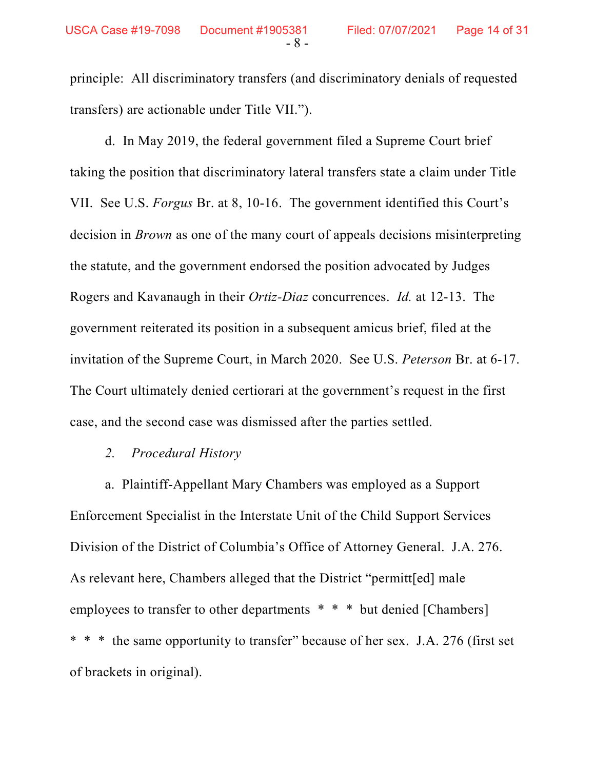principle: All discriminatory transfers (and discriminatory denials of requested transfers) are actionable under Title VII.").

d. In May 2019, the federal government filed a Supreme Court brief taking the position that discriminatory lateral transfers state a claim under Title VII. See U.S. Forgus Br. at 8, 10-16. The government identified this Court's decision in *Brown* as one of the many court of appeals decisions misinterpreting the statute, and the government endorsed the position advocated by Judges Rogers and Kavanaugh in their Ortiz-Diaz concurrences. Id. at 12-13. The government reiterated its position in a subsequent amicus brief, filed at the invitation of the Supreme Court, in March 2020. See U.S. Peterson Br. at 6-17. The Court ultimately denied certiorari at the government's request in the first case, and the second case was dismissed after the parties settled.

#### 2. Procedural History

a. Plaintiff-Appellant Mary Chambers was employed as a Support Enforcement Specialist in the Interstate Unit of the Child Support Services Division of the District of Columbia's Office of Attorney General. J.A. 276. As relevant here, Chambers alleged that the District "permitt[ed] male employees to transfer to other departments \* \* \* but denied [Chambers] \* \* \* the same opportunity to transfer" because of her sex. J.A. 276 (first set of brackets in original).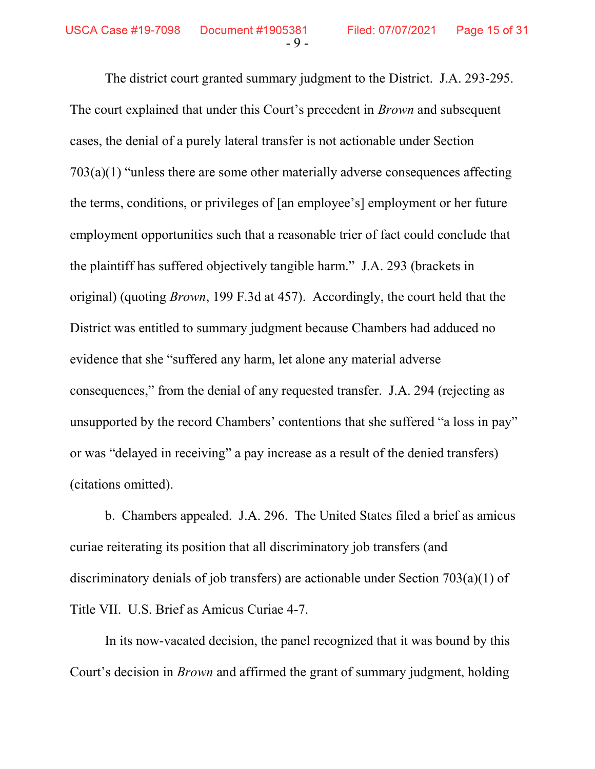The district court granted summary judgment to the District. J.A. 293-295. The court explained that under this Court's precedent in *Brown* and subsequent cases, the denial of a purely lateral transfer is not actionable under Section 703(a)(1) "unless there are some other materially adverse consequences affecting the terms, conditions, or privileges of [an employee's] employment or her future employment opportunities such that a reasonable trier of fact could conclude that the plaintiff has suffered objectively tangible harm." J.A. 293 (brackets in original) (quoting Brown, 199 F.3d at 457). Accordingly, the court held that the District was entitled to summary judgment because Chambers had adduced no evidence that she "suffered any harm, let alone any material adverse consequences," from the denial of any requested transfer. J.A. 294 (rejecting as unsupported by the record Chambers' contentions that she suffered "a loss in pay" or was "delayed in receiving" a pay increase as a result of the denied transfers) (citations omitted).

b. Chambers appealed. J.A. 296. The United States filed a brief as amicus curiae reiterating its position that all discriminatory job transfers (and discriminatory denials of job transfers) are actionable under Section 703(a)(1) of Title VII. U.S. Brief as Amicus Curiae 4-7.

In its now-vacated decision, the panel recognized that it was bound by this Court's decision in Brown and affirmed the grant of summary judgment, holding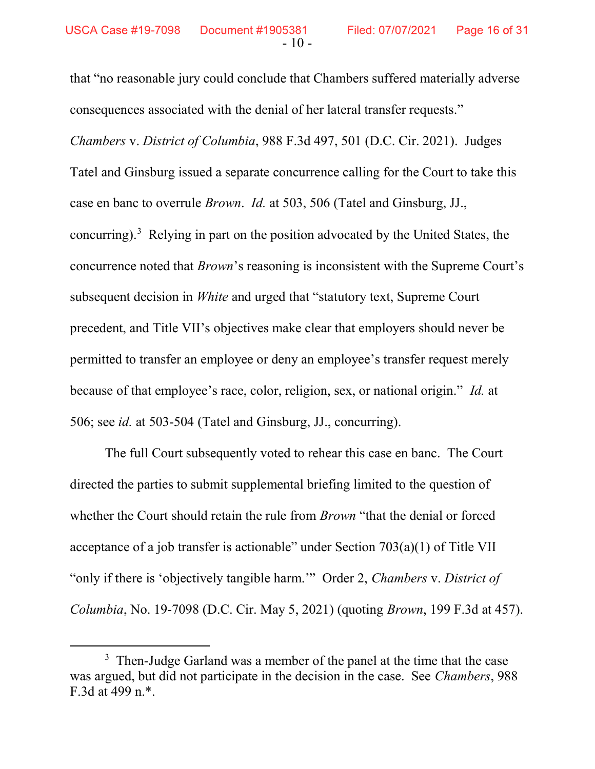that "no reasonable jury could conclude that Chambers suffered materially adverse consequences associated with the denial of her lateral transfer requests." Chambers v. District of Columbia, 988 F.3d 497, 501 (D.C. Cir. 2021). Judges Tatel and Ginsburg issued a separate concurrence calling for the Court to take this case en banc to overrule Brown. Id. at 503, 506 (Tatel and Ginsburg, JJ., concurring).<sup>3</sup> Relying in part on the position advocated by the United States, the concurrence noted that Brown's reasoning is inconsistent with the Supreme Court's subsequent decision in White and urged that "statutory text, Supreme Court precedent, and Title VII's objectives make clear that employers should never be permitted to transfer an employee or deny an employee's transfer request merely because of that employee's race, color, religion, sex, or national origin." Id. at 506; see id. at 503-504 (Tatel and Ginsburg, JJ., concurring).

The full Court subsequently voted to rehear this case en banc. The Court directed the parties to submit supplemental briefing limited to the question of whether the Court should retain the rule from *Brown* "that the denial or forced acceptance of a job transfer is actionable" under Section 703(a)(1) of Title VII "only if there is 'objectively tangible harm." Order 2, Chambers v. District of Columbia, No. 19-7098 (D.C. Cir. May 5, 2021) (quoting Brown, 199 F.3d at 457).

<sup>&</sup>lt;sup>3</sup> Then-Judge Garland was a member of the panel at the time that the case was argued, but did not participate in the decision in the case. See Chambers, 988 F.3d at 499 n.\*.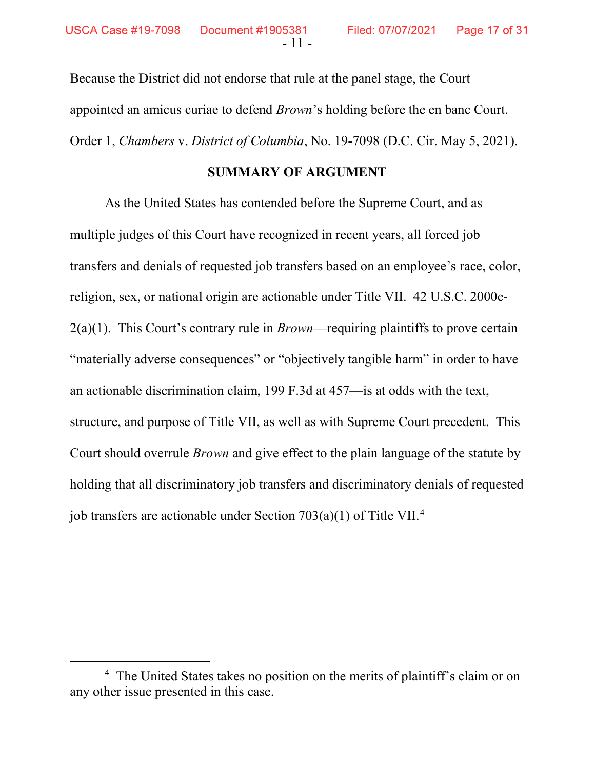Because the District did not endorse that rule at the panel stage, the Court appointed an amicus curiae to defend Brown's holding before the en banc Court. Order 1, Chambers v. District of Columbia, No. 19-7098 (D.C. Cir. May 5, 2021).

#### SUMMARY OF ARGUMENT

 As the United States has contended before the Supreme Court, and as multiple judges of this Court have recognized in recent years, all forced job transfers and denials of requested job transfers based on an employee's race, color, religion, sex, or national origin are actionable under Title VII. 42 U.S.C. 2000e- $2(a)(1)$ . This Court's contrary rule in *Brown*—requiring plaintiffs to prove certain "materially adverse consequences" or "objectively tangible harm" in order to have an actionable discrimination claim, 199 F.3d at 457—is at odds with the text, structure, and purpose of Title VII, as well as with Supreme Court precedent. This Court should overrule Brown and give effect to the plain language of the statute by holding that all discriminatory job transfers and discriminatory denials of requested job transfers are actionable under Section  $703(a)(1)$  of Title VII.<sup>4</sup>

<sup>&</sup>lt;sup>4</sup> The United States takes no position on the merits of plaintiff's claim or on any other issue presented in this case.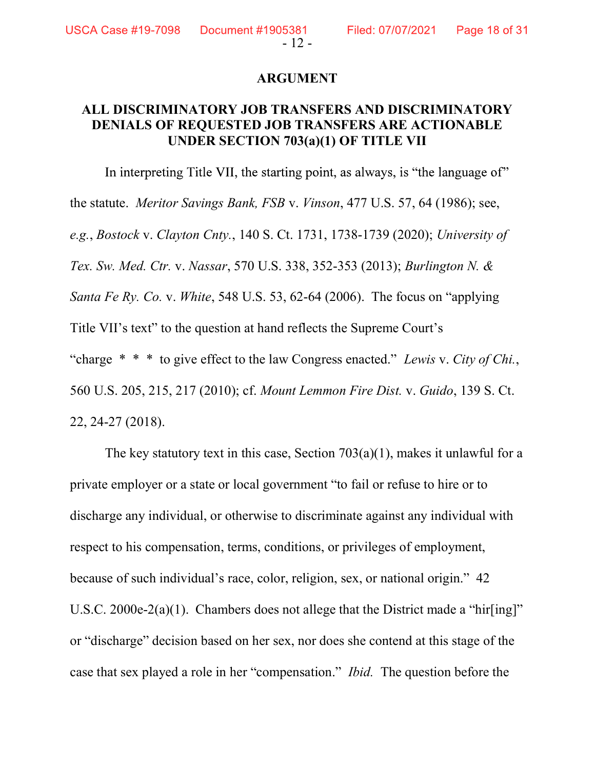**USCA Case #19-7098** 

#### ARGUMENT

#### ALL DISCRIMINATORY JOB TRANSFERS AND DISCRIMINATORY DENIALS OF REQUESTED JOB TRANSFERS ARE ACTIONABLE UNDER SECTION 703(a)(1) OF TITLE VII

In interpreting Title VII, the starting point, as always, is "the language of" the statute. Meritor Savings Bank, FSB v. Vinson, 477 U.S. 57, 64 (1986); see, e.g., Bostock v. Clayton Cnty., 140 S. Ct. 1731, 1738-1739 (2020); University of Tex. Sw. Med. Ctr. v. Nassar, 570 U.S. 338, 352-353 (2013); Burlington N. & Santa Fe Ry. Co. v. White, 548 U.S. 53, 62-64 (2006). The focus on "applying Title VII's text" to the question at hand reflects the Supreme Court's "charge  $* * *$  to give effect to the law Congress enacted." Lewis v. City of Chi., 560 U.S. 205, 215, 217 (2010); cf. Mount Lemmon Fire Dist. v. Guido, 139 S. Ct. 22, 24-27 (2018).

The key statutory text in this case, Section  $703(a)(1)$ , makes it unlawful for a private employer or a state or local government "to fail or refuse to hire or to discharge any individual, or otherwise to discriminate against any individual with respect to his compensation, terms, conditions, or privileges of employment, because of such individual's race, color, religion, sex, or national origin." 42 U.S.C. 2000e-2(a)(1). Chambers does not allege that the District made a "hir $\lceil \text{ing} \rceil$ " or "discharge" decision based on her sex, nor does she contend at this stage of the case that sex played a role in her "compensation." Ibid. The question before the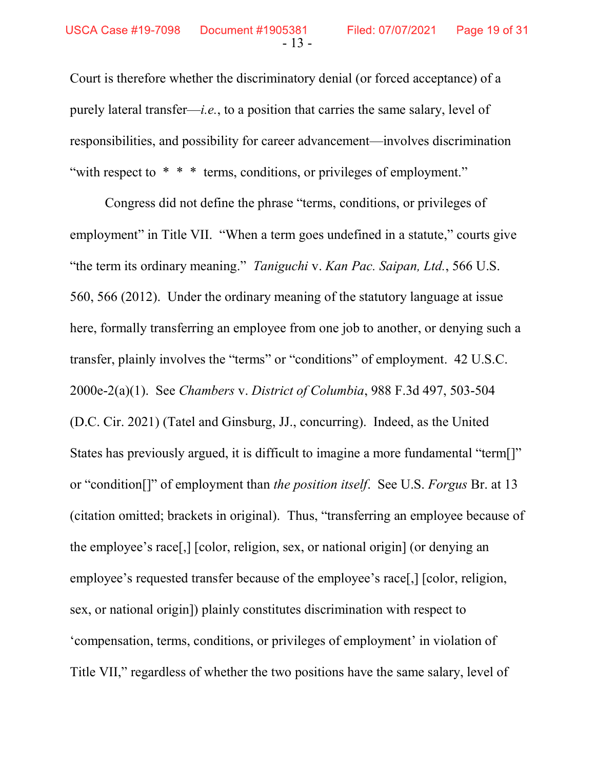Court is therefore whether the discriminatory denial (or forced acceptance) of a purely lateral transfer—*i.e.*, to a position that carries the same salary, level of responsibilities, and possibility for career advancement—involves discrimination "with respect to \* \* \* terms, conditions, or privileges of employment."

Congress did not define the phrase "terms, conditions, or privileges of employment" in Title VII. "When a term goes undefined in a statute," courts give "the term its ordinary meaning." Taniguchi v. Kan Pac. Saipan, Ltd., 566 U.S. 560, 566 (2012). Under the ordinary meaning of the statutory language at issue here, formally transferring an employee from one job to another, or denying such a transfer, plainly involves the "terms" or "conditions" of employment. 42 U.S.C. 2000e-2(a)(1). See Chambers v. District of Columbia, 988 F.3d 497, 503-504 (D.C. Cir. 2021) (Tatel and Ginsburg, JJ., concurring). Indeed, as the United States has previously argued, it is difficult to imagine a more fundamental "term[]" or "condition<sup>[]"</sup> of employment than *the position itself.* See U.S. Forgus Br. at 13 (citation omitted; brackets in original). Thus, "transferring an employee because of the employee's race[,] [color, religion, sex, or national origin] (or denying an employee's requested transfer because of the employee's race[,] [color, religion, sex, or national origin]) plainly constitutes discrimination with respect to 'compensation, terms, conditions, or privileges of employment' in violation of Title VII," regardless of whether the two positions have the same salary, level of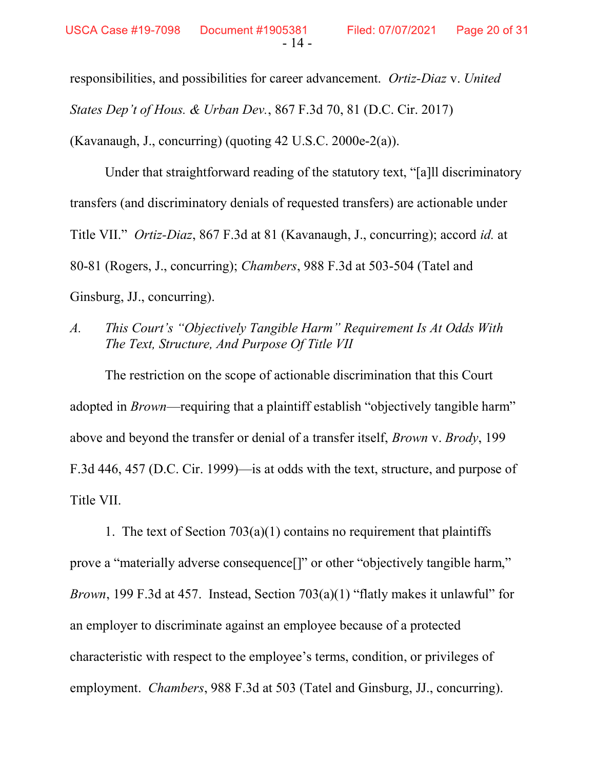responsibilities, and possibilities for career advancement. Ortiz-Diaz v. United States Dep't of Hous. & Urban Dev., 867 F.3d 70, 81 (D.C. Cir. 2017) (Kavanaugh, J., concurring) (quoting  $42 \text{ U.S.C. } 2000 \text{e-}2(a)$ ).

Under that straightforward reading of the statutory text, "[a]ll discriminatory transfers (and discriminatory denials of requested transfers) are actionable under Title VII." Ortiz-Diaz, 867 F.3d at 81 (Kavanaugh, J., concurring); accord id. at 80-81 (Rogers, J., concurring); Chambers, 988 F.3d at 503-504 (Tatel and Ginsburg, JJ., concurring).

A. This Court's "Objectively Tangible Harm" Requirement Is At Odds With The Text, Structure, And Purpose Of Title VII

The restriction on the scope of actionable discrimination that this Court adopted in *Brown*—requiring that a plaintiff establish "objectively tangible harm" above and beyond the transfer or denial of a transfer itself, Brown v. Brody, 199 F.3d 446, 457 (D.C. Cir. 1999)—is at odds with the text, structure, and purpose of Title VII.

1. The text of Section  $703(a)(1)$  contains no requirement that plaintiffs prove a "materially adverse consequence[]" or other "objectively tangible harm," Brown, 199 F.3d at 457. Instead, Section 703(a)(1) "flatly makes it unlawful" for an employer to discriminate against an employee because of a protected characteristic with respect to the employee's terms, condition, or privileges of employment. *Chambers*, 988 F.3d at 503 (Tatel and Ginsburg, JJ., concurring).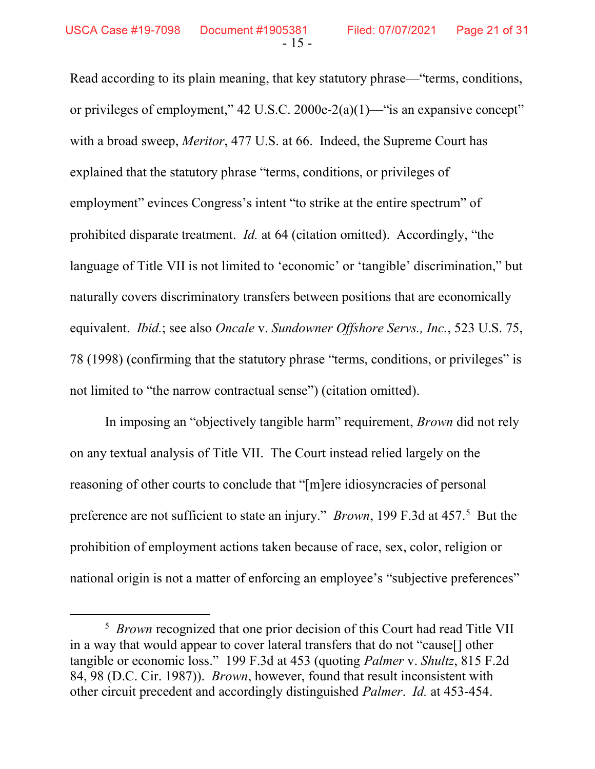Read according to its plain meaning, that key statutory phrase—"terms, conditions, or privileges of employment,"  $42 \text{ U.S.C. } 2000 \text{ e} - 2(a)(1)$ —"is an expansive concept" with a broad sweep, *Meritor*, 477 U.S. at 66. Indeed, the Supreme Court has explained that the statutory phrase "terms, conditions, or privileges of employment" evinces Congress's intent "to strike at the entire spectrum" of prohibited disparate treatment. Id. at 64 (citation omitted). Accordingly, "the language of Title VII is not limited to 'economic' or 'tangible' discrimination," but naturally covers discriminatory transfers between positions that are economically equivalent. Ibid.; see also Oncale v. Sundowner Offshore Servs., Inc., 523 U.S. 75, 78 (1998) (confirming that the statutory phrase "terms, conditions, or privileges" is not limited to "the narrow contractual sense") (citation omitted).

In imposing an "objectively tangible harm" requirement, *Brown* did not rely on any textual analysis of Title VII. The Court instead relied largely on the reasoning of other courts to conclude that "[m]ere idiosyncracies of personal preference are not sufficient to state an injury." *Brown*, 199 F.3d at 457.<sup>5</sup> But the prohibition of employment actions taken because of race, sex, color, religion or national origin is not a matter of enforcing an employee's "subjective preferences"

<sup>&</sup>lt;sup>5</sup> Brown recognized that one prior decision of this Court had read Title VII in a way that would appear to cover lateral transfers that do not "cause[] other tangible or economic loss." 199 F.3d at 453 (quoting Palmer v. Shultz, 815 F.2d 84, 98 (D.C. Cir. 1987)). Brown, however, found that result inconsistent with other circuit precedent and accordingly distinguished Palmer. Id. at 453-454.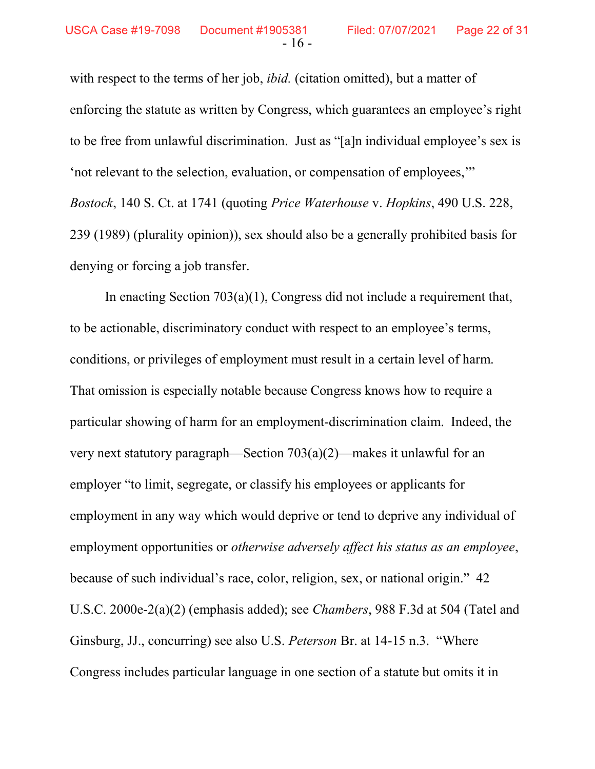with respect to the terms of her job, *ibid.* (citation omitted), but a matter of enforcing the statute as written by Congress, which guarantees an employee's right to be free from unlawful discrimination. Just as "[a]n individual employee's sex is 'not relevant to the selection, evaluation, or compensation of employees,'" Bostock, 140 S. Ct. at 1741 (quoting Price Waterhouse v. Hopkins, 490 U.S. 228, 239 (1989) (plurality opinion)), sex should also be a generally prohibited basis for denying or forcing a job transfer.

In enacting Section 703(a)(1), Congress did not include a requirement that, to be actionable, discriminatory conduct with respect to an employee's terms, conditions, or privileges of employment must result in a certain level of harm. That omission is especially notable because Congress knows how to require a particular showing of harm for an employment-discrimination claim. Indeed, the very next statutory paragraph—Section 703(a)(2)—makes it unlawful for an employer "to limit, segregate, or classify his employees or applicants for employment in any way which would deprive or tend to deprive any individual of employment opportunities or *otherwise adversely affect his status as an employee*, because of such individual's race, color, religion, sex, or national origin." 42 U.S.C. 2000e-2(a)(2) (emphasis added); see Chambers, 988 F.3d at 504 (Tatel and Ginsburg, JJ., concurring) see also U.S. Peterson Br. at 14-15 n.3. "Where Congress includes particular language in one section of a statute but omits it in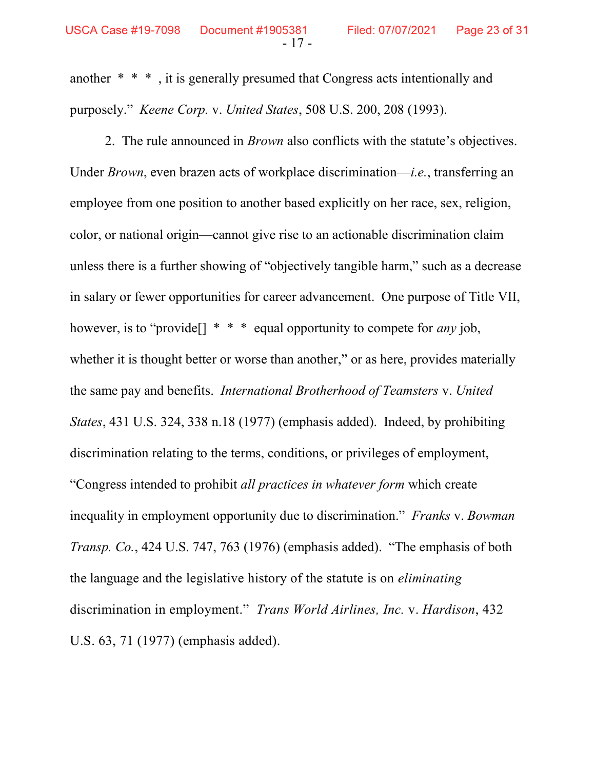another \* \* \* , it is generally presumed that Congress acts intentionally and purposely." Keene Corp. v. United States, 508 U.S. 200, 208 (1993).

- 17 -

 2. The rule announced in Brown also conflicts with the statute's objectives. Under *Brown*, even brazen acts of workplace discrimination—*i.e.*, transferring an employee from one position to another based explicitly on her race, sex, religion, color, or national origin—cannot give rise to an actionable discrimination claim unless there is a further showing of "objectively tangible harm," such as a decrease in salary or fewer opportunities for career advancement. One purpose of Title VII, however, is to "provide[]  $* * *$  equal opportunity to compete for *any* job, whether it is thought better or worse than another," or as here, provides materially the same pay and benefits. International Brotherhood of Teamsters v. United States, 431 U.S. 324, 338 n.18 (1977) (emphasis added). Indeed, by prohibiting discrimination relating to the terms, conditions, or privileges of employment, "Congress intended to prohibit all practices in whatever form which create inequality in employment opportunity due to discrimination." Franks v. Bowman Transp. Co., 424 U.S. 747, 763 (1976) (emphasis added). "The emphasis of both the language and the legislative history of the statute is on eliminating discrimination in employment." Trans World Airlines, Inc. v. Hardison, 432 U.S. 63, 71 (1977) (emphasis added).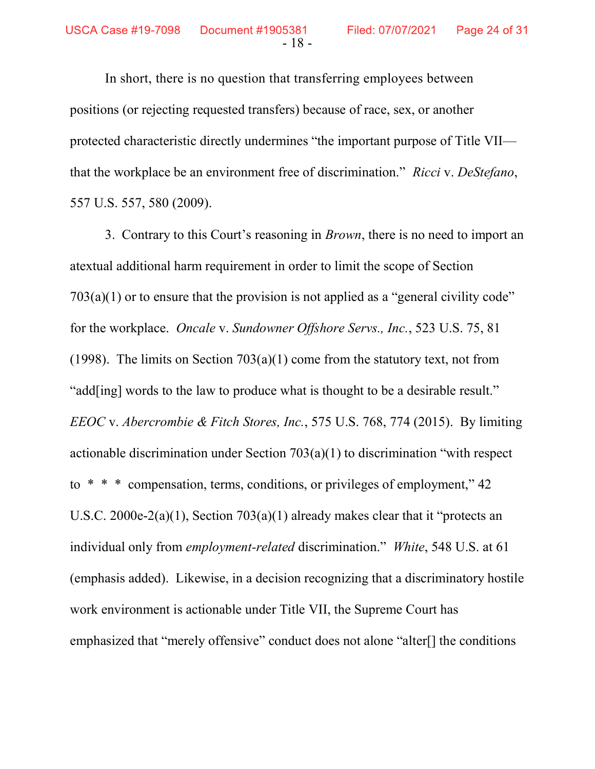In short, there is no question that transferring employees between positions (or rejecting requested transfers) because of race, sex, or another protected characteristic directly undermines "the important purpose of Title VII that the workplace be an environment free of discrimination." Ricci v. DeStefano, 557 U.S. 557, 580 (2009).

3. Contrary to this Court's reasoning in *Brown*, there is no need to import an atextual additional harm requirement in order to limit the scope of Section  $703(a)(1)$  or to ensure that the provision is not applied as a "general civility code" for the workplace. Oncale v. Sundowner Offshore Servs., Inc., 523 U.S. 75, 81 (1998). The limits on Section  $703(a)(1)$  come from the statutory text, not from "add[ing] words to the law to produce what is thought to be a desirable result." EEOC v. Abercrombie & Fitch Stores, Inc., 575 U.S. 768, 774 (2015). By limiting actionable discrimination under Section 703(a)(1) to discrimination "with respect to \* \* \* compensation, terms, conditions, or privileges of employment," 42 U.S.C. 2000e-2(a)(1), Section  $703(a)(1)$  already makes clear that it "protects an individual only from employment-related discrimination." White, 548 U.S. at 61 (emphasis added). Likewise, in a decision recognizing that a discriminatory hostile work environment is actionable under Title VII, the Supreme Court has emphasized that "merely offensive" conduct does not alone "alter[] the conditions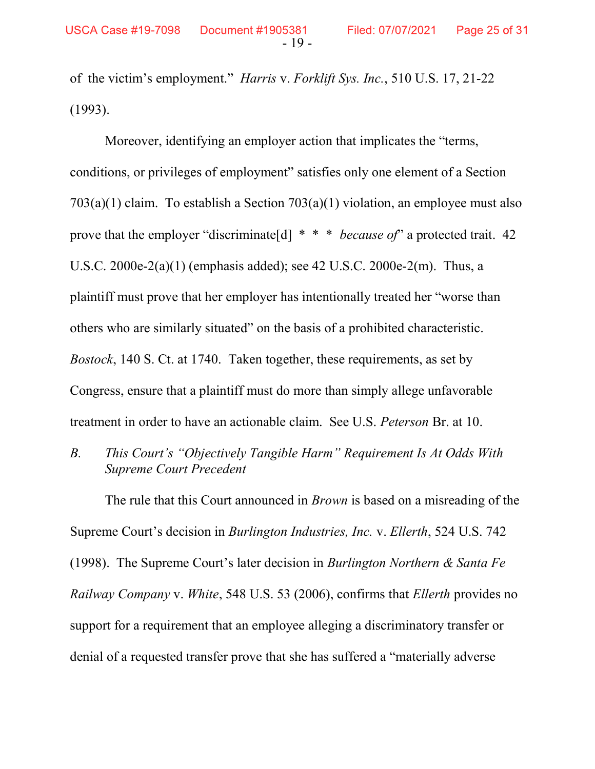of the victim's employment." Harris v. Forklift Sys. Inc., 510 U.S. 17, 21-22 (1993).

Moreover, identifying an employer action that implicates the "terms, conditions, or privileges of employment" satisfies only one element of a Section 703(a)(1) claim. To establish a Section 703(a)(1) violation, an employee must also prove that the employer "discriminate<sup>[d]</sup>  $* * * because of"$  a protected trait. 42 U.S.C. 2000e-2(a)(1) (emphasis added); see 42 U.S.C. 2000e-2(m). Thus, a plaintiff must prove that her employer has intentionally treated her "worse than others who are similarly situated" on the basis of a prohibited characteristic. Bostock, 140 S. Ct. at 1740. Taken together, these requirements, as set by Congress, ensure that a plaintiff must do more than simply allege unfavorable treatment in order to have an actionable claim. See U.S. Peterson Br. at 10.

B. This Court's "Objectively Tangible Harm" Requirement Is At Odds With Supreme Court Precedent

The rule that this Court announced in *Brown* is based on a misreading of the Supreme Court's decision in Burlington Industries, Inc. v. Ellerth, 524 U.S. 742 (1998). The Supreme Court's later decision in Burlington Northern  $\&$  Santa Fe Railway Company v. White, 548 U.S. 53 (2006), confirms that Ellerth provides no support for a requirement that an employee alleging a discriminatory transfer or denial of a requested transfer prove that she has suffered a "materially adverse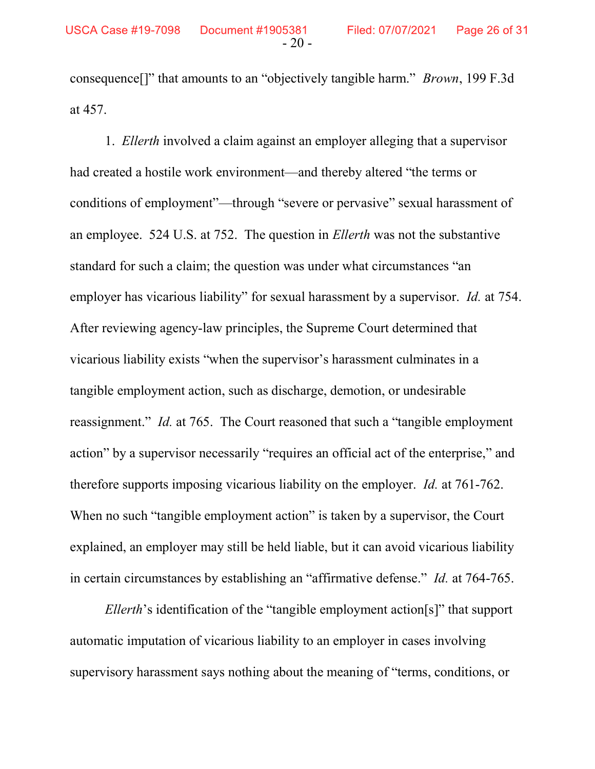consequence[]" that amounts to an "objectively tangible harm." Brown, 199 F.3d at 457.

 1. Ellerth involved a claim against an employer alleging that a supervisor had created a hostile work environment—and thereby altered "the terms or conditions of employment"—through "severe or pervasive" sexual harassment of an employee. 524 U.S. at 752. The question in Ellerth was not the substantive standard for such a claim; the question was under what circumstances "an employer has vicarious liability" for sexual harassment by a supervisor. *Id.* at 754. After reviewing agency-law principles, the Supreme Court determined that vicarious liability exists "when the supervisor's harassment culminates in a tangible employment action, such as discharge, demotion, or undesirable reassignment." *Id.* at 765. The Court reasoned that such a "tangible employment" action" by a supervisor necessarily "requires an official act of the enterprise," and therefore supports imposing vicarious liability on the employer. Id. at 761-762. When no such "tangible employment action" is taken by a supervisor, the Court explained, an employer may still be held liable, but it can avoid vicarious liability in certain circumstances by establishing an "affirmative defense." Id. at 764-765.

 Ellerth's identification of the "tangible employment action[s]" that support automatic imputation of vicarious liability to an employer in cases involving supervisory harassment says nothing about the meaning of "terms, conditions, or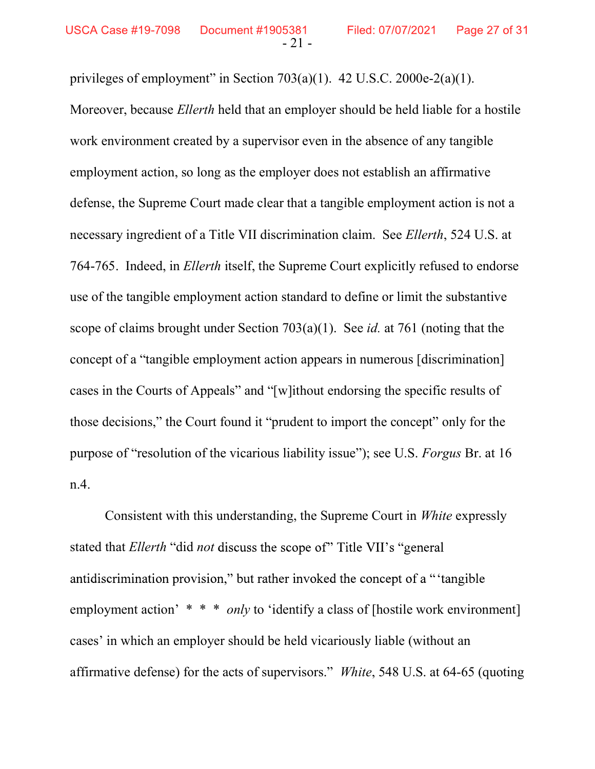privileges of employment" in Section  $703(a)(1)$ . 42 U.S.C.  $2000e-2(a)(1)$ .

Moreover, because Ellerth held that an employer should be held liable for a hostile work environment created by a supervisor even in the absence of any tangible employment action, so long as the employer does not establish an affirmative defense, the Supreme Court made clear that a tangible employment action is not a necessary ingredient of a Title VII discrimination claim. See Ellerth, 524 U.S. at 764-765. Indeed, in Ellerth itself, the Supreme Court explicitly refused to endorse use of the tangible employment action standard to define or limit the substantive scope of claims brought under Section  $703(a)(1)$ . See *id.* at 761 (noting that the concept of a "tangible employment action appears in numerous [discrimination] cases in the Courts of Appeals" and "[w]ithout endorsing the specific results of those decisions," the Court found it "prudent to import the concept" only for the purpose of "resolution of the vicarious liability issue"); see U.S. Forgus Br. at 16 n.4.

Consistent with this understanding, the Supreme Court in White expressly stated that *Ellerth* "did not discuss the scope of" Title VII's "general antidiscrimination provision," but rather invoked the concept of a "'tangible" employment action' \* \* \* only to 'identify a class of [hostile work environment] cases' in which an employer should be held vicariously liable (without an affirmative defense) for the acts of supervisors." White, 548 U.S. at 64-65 (quoting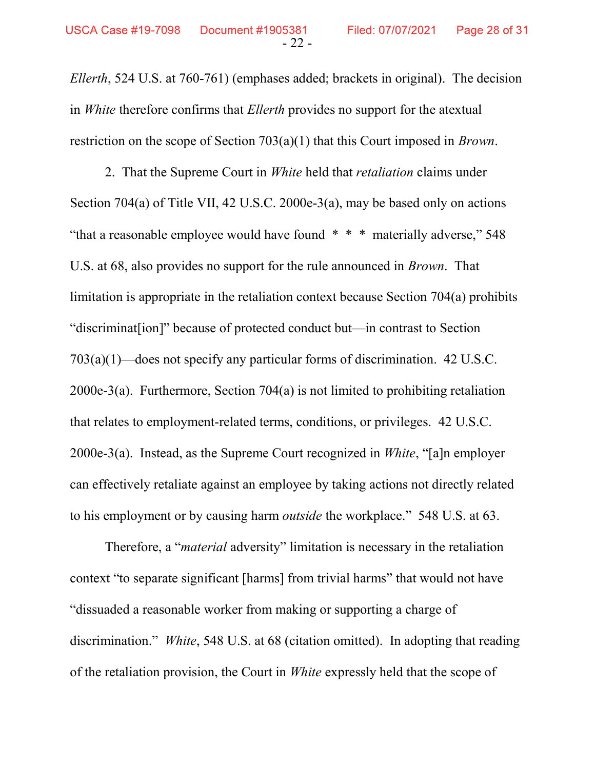Ellerth, 524 U.S. at 760-761) (emphases added; brackets in original). The decision in *White* therefore confirms that *Ellerth* provides no support for the atextual restriction on the scope of Section 703(a)(1) that this Court imposed in Brown.

2. That the Supreme Court in *White* held that *retaliation* claims under Section 704(a) of Title VII, 42 U.S.C. 2000e-3(a), may be based only on actions "that a reasonable employee would have found \* \* \* materially adverse," 548 U.S. at 68, also provides no support for the rule announced in Brown. That limitation is appropriate in the retaliation context because Section 704(a) prohibits "discriminat[ion]" because of protected conduct but—in contrast to Section 703(a)(1)—does not specify any particular forms of discrimination. 42 U.S.C. 2000e-3(a). Furthermore, Section 704(a) is not limited to prohibiting retaliation that relates to employment-related terms, conditions, or privileges. 42 U.S.C. 2000e-3(a). Instead, as the Supreme Court recognized in *White*, "[a]n employer can effectively retaliate against an employee by taking actions not directly related to his employment or by causing harm outside the workplace." 548 U.S. at 63.

Therefore, a "material adversity" limitation is necessary in the retaliation context "to separate significant [harms] from trivial harms" that would not have "dissuaded a reasonable worker from making or supporting a charge of discrimination." White, 548 U.S. at 68 (citation omitted). In adopting that reading of the retaliation provision, the Court in *White* expressly held that the scope of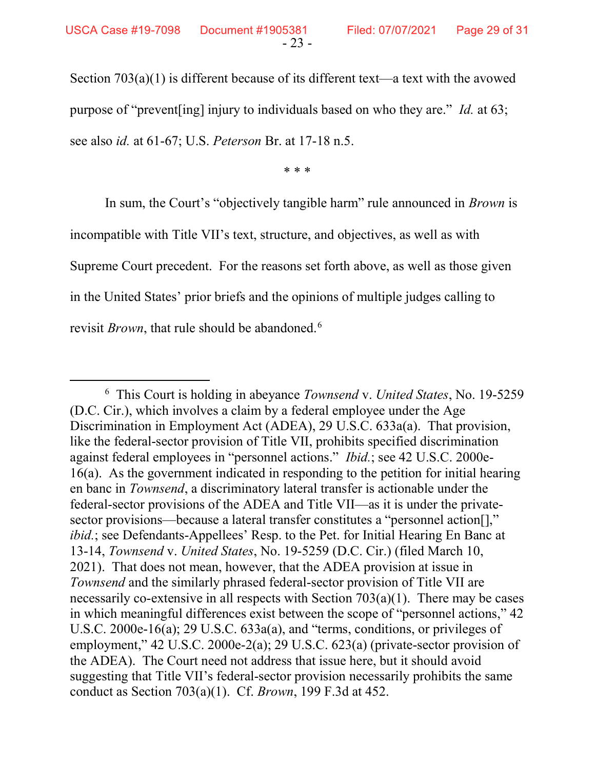Section 703(a)(1) is different because of its different text—a text with the avowed purpose of "prevent[ing] injury to individuals based on who they are." Id. at 63; see also id. at 61-67; U.S. Peterson Br. at 17-18 n.5.

\* \* \*

In sum, the Court's "objectively tangible harm" rule announced in *Brown* is incompatible with Title VII's text, structure, and objectives, as well as with Supreme Court precedent. For the reasons set forth above, as well as those given in the United States' prior briefs and the opinions of multiple judges calling to revisit *Brown*, that rule should be abandoned.<sup>6</sup>

<sup>&</sup>lt;sup>6</sup> This Court is holding in abeyance Townsend v. United States, No. 19-5259 (D.C. Cir.), which involves a claim by a federal employee under the Age Discrimination in Employment Act (ADEA), 29 U.S.C. 633a(a). That provision, like the federal-sector provision of Title VII, prohibits specified discrimination against federal employees in "personnel actions." Ibid.; see 42 U.S.C. 2000e-16(a). As the government indicated in responding to the petition for initial hearing en banc in Townsend, a discriminatory lateral transfer is actionable under the federal-sector provisions of the ADEA and Title VII—as it is under the privatesector provisions—because a lateral transfer constitutes a "personnel action.]" ibid.; see Defendants-Appellees' Resp. to the Pet. for Initial Hearing En Banc at 13-14, Townsend v. United States, No. 19-5259 (D.C. Cir.) (filed March 10, 2021). That does not mean, however, that the ADEA provision at issue in Townsend and the similarly phrased federal-sector provision of Title VII are necessarily co-extensive in all respects with Section  $703(a)(1)$ . There may be cases in which meaningful differences exist between the scope of "personnel actions," 42 U.S.C. 2000e-16(a); 29 U.S.C. 633a(a), and "terms, conditions, or privileges of employment," 42 U.S.C. 2000e-2(a); 29 U.S.C. 623(a) (private-sector provision of the ADEA). The Court need not address that issue here, but it should avoid suggesting that Title VII's federal-sector provision necessarily prohibits the same conduct as Section 703(a)(1). Cf. Brown, 199 F.3d at 452.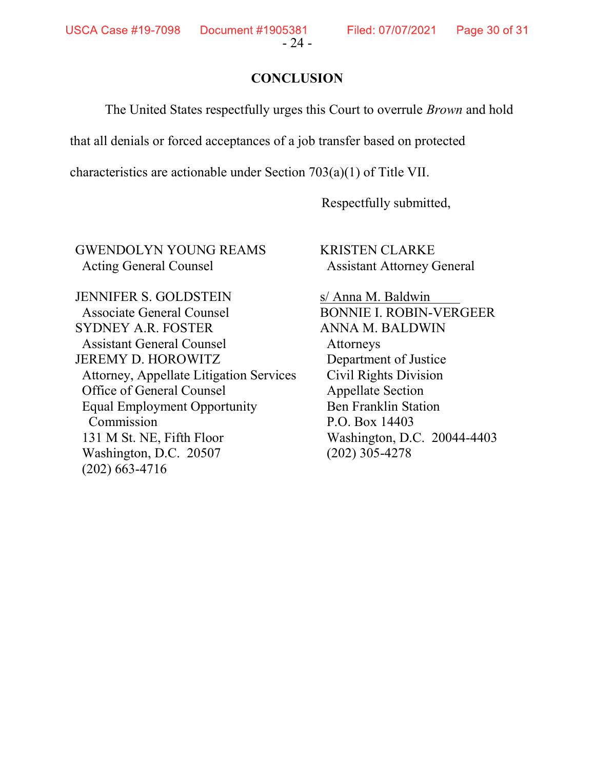**USCA Case #19-7098** 

#### **CONCLUSION**

The United States respectfully urges this Court to overrule Brown and hold

that all denials or forced acceptances of a job transfer based on protected

characteristics are actionable under Section 703(a)(1) of Title VII.

Respectfully submitted,

GWENDOLYN YOUNG REAMS Acting General Counsel

KRISTEN CLARKE Assistant Attorney General

JENNIFER S. GOLDSTEIN Associate General Counsel SYDNEY A.R. FOSTER Assistant General Counsel JEREMY D. HOROWITZ Attorney, Appellate Litigation Services Office of General Counsel Equal Employment Opportunity Commission 131 M St. NE, Fifth Floor Washington, D.C. 20507 (202) 663-4716

s/ Anna M. Baldwin BONNIE I. ROBIN-VERGEER ANNA M. BALDWIN Attorneys Department of Justice Civil Rights Division Appellate Section Ben Franklin Station P.O. Box 14403 Washington, D.C. 20044-4403 (202) 305-4278